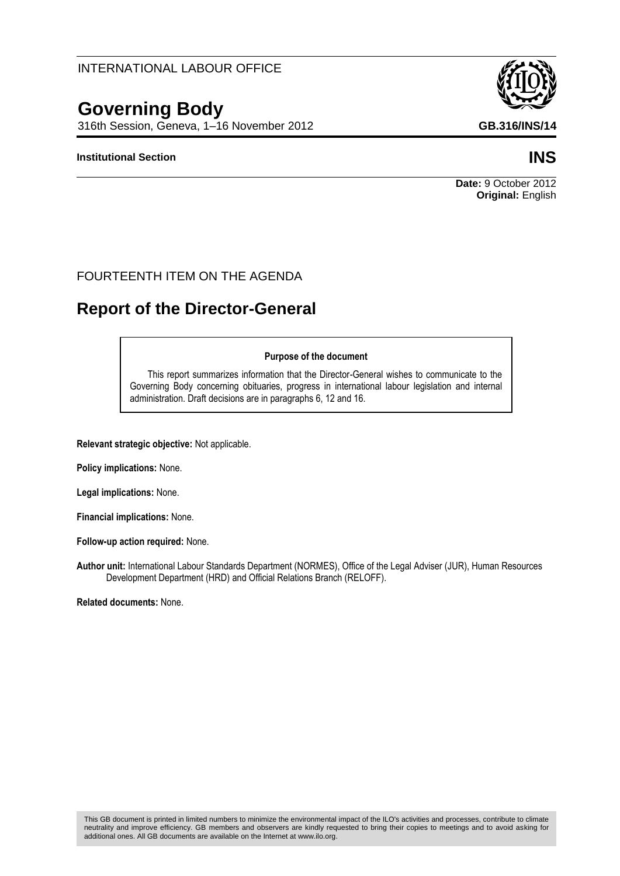## INTERNATIONAL LABOUR OFFICE

# **Governing Body**

316th Session, Geneva, 1–16 November 2012 **GB.316/INS/14**

## **Institutional Section INS**

## FOURTEENTH ITEM ON THE AGENDA

# **Report of the Director-General**

#### **Purpose of the document**

This report summarizes information that the Director-General wishes to communicate to the Governing Body concerning obituaries, progress in international labour legislation and internal administration. Draft decisions are in paragraphs 6, 12 and 16.

**Relevant strategic objective:** Not applicable.

**Policy implications:** None.

**Legal implications:** None.

**Financial implications:** None.

**Follow-up action required:** None.

**Author unit:** International Labour Standards Department (NORMES), Office of the Legal Adviser (JUR), Human Resources Development Department (HRD) and Official Relations Branch (RELOFF).

**Related documents:** None.





**Date:** 9 October 2012 **Original:** English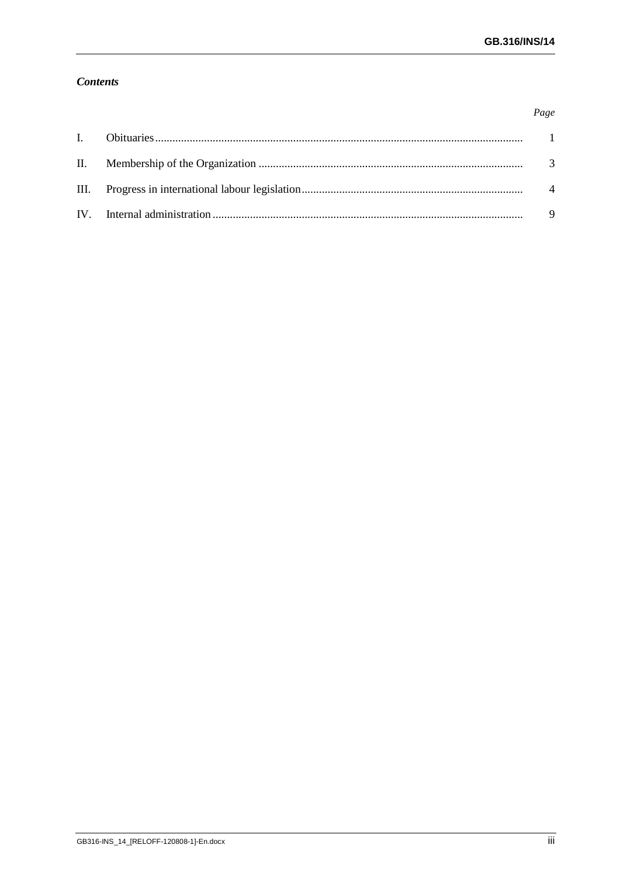Page

## **Contents**

|  | - 9 |
|--|-----|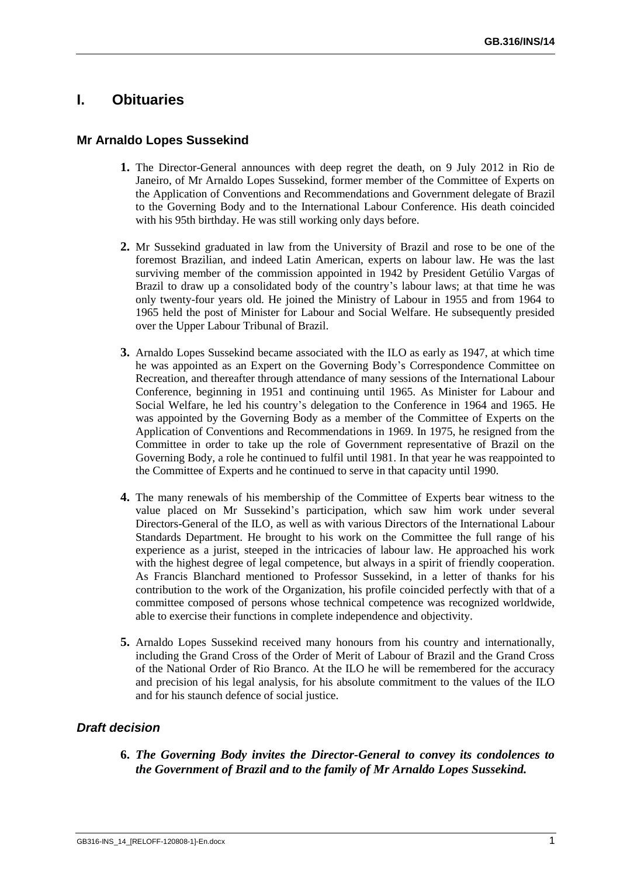## <span id="page-4-0"></span>**I. Obituaries**

## **Mr Arnaldo Lopes Sussekind**

- **1.** The Director-General announces with deep regret the death, on 9 July 2012 in Rio de Janeiro, of Mr Arnaldo Lopes Sussekind, former member of the Committee of Experts on the Application of Conventions and Recommendations and Government delegate of Brazil to the Governing Body and to the International Labour Conference. His death coincided with his 95th birthday. He was still working only days before.
- **2.** Mr Sussekind graduated in law from the University of Brazil and rose to be one of the foremost Brazilian, and indeed Latin American, experts on labour law. He was the last surviving member of the commission appointed in 1942 by President Getúlio Vargas of Brazil to draw up a consolidated body of the country"s labour laws; at that time he was only twenty-four years old. He joined the Ministry of Labour in 1955 and from 1964 to 1965 held the post of Minister for Labour and Social Welfare. He subsequently presided over the Upper Labour Tribunal of Brazil.
- **3.** Arnaldo Lopes Sussekind became associated with the ILO as early as 1947, at which time he was appointed as an Expert on the Governing Body"s Correspondence Committee on Recreation, and thereafter through attendance of many sessions of the International Labour Conference, beginning in 1951 and continuing until 1965. As Minister for Labour and Social Welfare, he led his country"s delegation to the Conference in 1964 and 1965. He was appointed by the Governing Body as a member of the Committee of Experts on the Application of Conventions and Recommendations in 1969. In 1975, he resigned from the Committee in order to take up the role of Government representative of Brazil on the Governing Body, a role he continued to fulfil until 1981. In that year he was reappointed to the Committee of Experts and he continued to serve in that capacity until 1990.
- **4.** The many renewals of his membership of the Committee of Experts bear witness to the value placed on Mr Sussekind"s participation, which saw him work under several Directors-General of the ILO, as well as with various Directors of the International Labour Standards Department. He brought to his work on the Committee the full range of his experience as a jurist, steeped in the intricacies of labour law. He approached his work with the highest degree of legal competence, but always in a spirit of friendly cooperation. As Francis Blanchard mentioned to Professor Sussekind, in a letter of thanks for his contribution to the work of the Organization, his profile coincided perfectly with that of a committee composed of persons whose technical competence was recognized worldwide, able to exercise their functions in complete independence and objectivity.
- **5.** Arnaldo Lopes Sussekind received many honours from his country and internationally, including the Grand Cross of the Order of Merit of Labour of Brazil and the Grand Cross of the National Order of Rio Branco. At the ILO he will be remembered for the accuracy and precision of his legal analysis, for his absolute commitment to the values of the ILO and for his staunch defence of social justice.

## *Draft decision*

**6.** *The Governing Body invites the Director-General to convey its condolences to the Government of Brazil and to the family of Mr Arnaldo Lopes Sussekind.*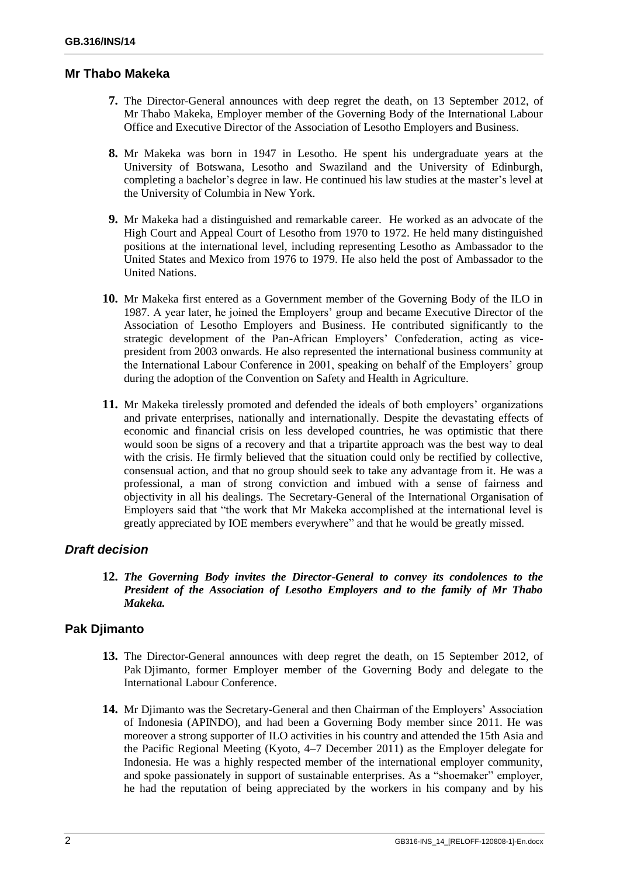## **Mr Thabo Makeka**

- **7.** The Director-General announces with deep regret the death, on 13 September 2012, of Mr Thabo Makeka, Employer member of the Governing Body of the International Labour Office and Executive Director of the Association of Lesotho Employers and Business.
- **8.** Mr Makeka was born in 1947 in Lesotho. He spent his undergraduate years at the University of Botswana, Lesotho and Swaziland and the University of Edinburgh, completing a bachelor's degree in law. He continued his law studies at the master's level at the University of Columbia in New York.
- **9.** Mr Makeka had a distinguished and remarkable career. He worked as an advocate of the High Court and Appeal Court of Lesotho from 1970 to 1972. He held many distinguished positions at the international level, including representing Lesotho as Ambassador to the United States and Mexico from 1976 to 1979. He also held the post of Ambassador to the United Nations.
- **10.** Mr Makeka first entered as a Government member of the Governing Body of the ILO in 1987. A year later, he joined the Employers" group and became Executive Director of the Association of Lesotho Employers and Business. He contributed significantly to the strategic development of the Pan-African Employers' Confederation, acting as vicepresident from 2003 onwards. He also represented the international business community at the International Labour Conference in 2001, speaking on behalf of the Employers' group during the adoption of the Convention on Safety and Health in Agriculture.
- **11.** Mr Makeka tirelessly promoted and defended the ideals of both employers' organizations and private enterprises, nationally and internationally. Despite the devastating effects of economic and financial crisis on less developed countries, he was optimistic that there would soon be signs of a recovery and that a tripartite approach was the best way to deal with the crisis. He firmly believed that the situation could only be rectified by collective, consensual action, and that no group should seek to take any advantage from it. He was a professional, a man of strong conviction and imbued with a sense of fairness and objectivity in all his dealings. The Secretary-General of the International Organisation of Employers said that "the work that Mr Makeka accomplished at the international level is greatly appreciated by IOE members everywhere" and that he would be greatly missed.

## *Draft decision*

**12.** *The Governing Body invites the Director-General to convey its condolences to the President of the Association of Lesotho Employers and to the family of Mr Thabo Makeka.* 

## **Pak Djimanto**

- **13.** The Director-General announces with deep regret the death, on 15 September 2012, of Pak Djimanto, former Employer member of the Governing Body and delegate to the International Labour Conference.
- **14.** Mr Djimanto was the Secretary-General and then Chairman of the Employers" Association of Indonesia (APINDO), and had been a Governing Body member since 2011. He was moreover a strong supporter of ILO activities in his country and attended the 15th Asia and the Pacific Regional Meeting (Kyoto, 4–7 December 2011) as the Employer delegate for Indonesia. He was a highly respected member of the international employer community, and spoke passionately in support of sustainable enterprises. As a "shoemaker" employer, he had the reputation of being appreciated by the workers in his company and by his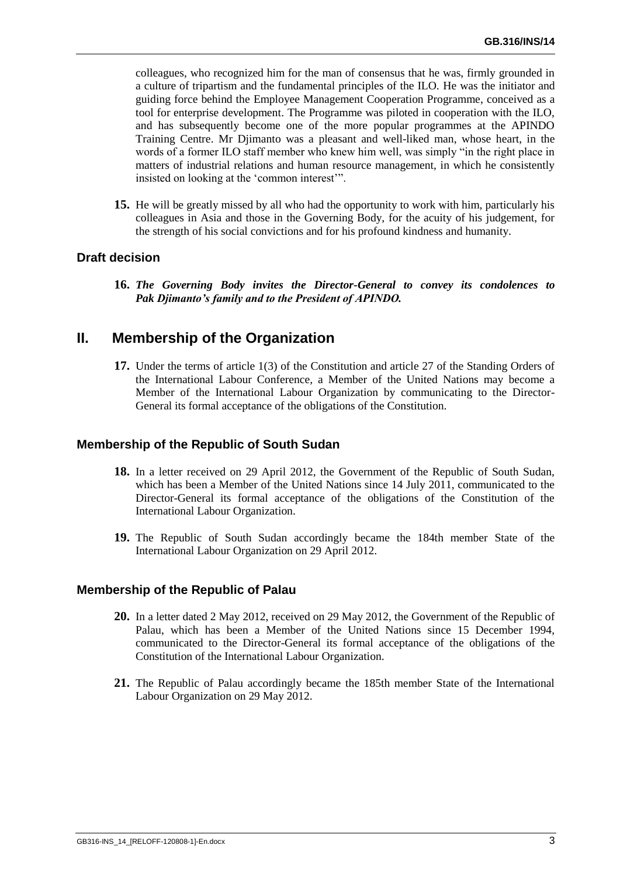colleagues, who recognized him for the man of consensus that he was, firmly grounded in a culture of tripartism and the fundamental principles of the ILO. He was the initiator and guiding force behind the Employee Management Cooperation Programme, conceived as a tool for enterprise development. The Programme was piloted in cooperation with the ILO, and has subsequently become one of the more popular programmes at the APINDO Training Centre. Mr Djimanto was a pleasant and well-liked man, whose heart, in the words of a former ILO staff member who knew him well, was simply "in the right place in matters of industrial relations and human resource management, in which he consistently insisted on looking at the "common interest"".

**15.** He will be greatly missed by all who had the opportunity to work with him, particularly his colleagues in Asia and those in the Governing Body, for the acuity of his judgement, for the strength of his social convictions and for his profound kindness and humanity.

#### **Draft decision**

**16.** *The Governing Body invites the Director-General to convey its condolences to Pak Djimanto's family and to the President of APINDO.*

## <span id="page-6-0"></span>**II. Membership of the Organization**

**17.** Under the terms of article 1(3) of the Constitution and article 27 of the Standing Orders of the International Labour Conference, a Member of the United Nations may become a Member of the International Labour Organization by communicating to the Director-General its formal acceptance of the obligations of the Constitution.

#### **Membership of the Republic of South Sudan**

- **18.** In a letter received on 29 April 2012, the Government of the Republic of South Sudan, which has been a Member of the United Nations since 14 July 2011, communicated to the Director-General its formal acceptance of the obligations of the Constitution of the International Labour Organization.
- **19.** The Republic of South Sudan accordingly became the 184th member State of the International Labour Organization on 29 April 2012.

#### **Membership of the Republic of Palau**

- **20.** In a letter dated 2 May 2012, received on 29 May 2012, the Government of the Republic of Palau, which has been a Member of the United Nations since 15 December 1994, communicated to the Director-General its formal acceptance of the obligations of the Constitution of the International Labour Organization.
- **21.** The Republic of Palau accordingly became the 185th member State of the International Labour Organization on 29 May 2012.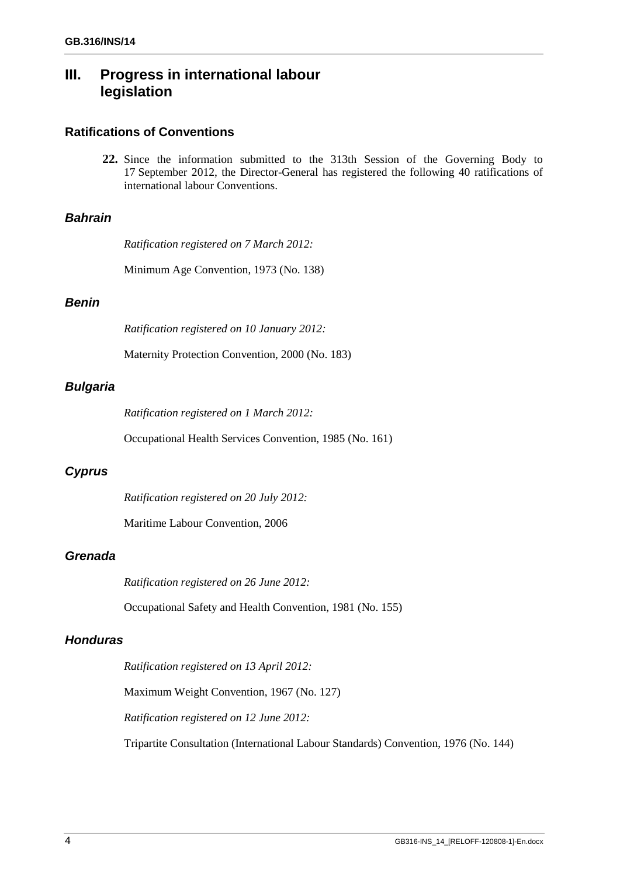## **III. Progress in international labour legislation**

## **Ratifications of Conventions**

**22.** Since the information submitted to the 313th Session of the Governing Body to 17 September 2012, the Director-General has registered the following 40 ratifications of international labour Conventions.

## *Bahrain*

*Ratification registered on 7 March 2012:*

Minimum Age Convention, 1973 (No. 138)

## *Benin*

*Ratification registered on 10 January 2012:*

Maternity Protection Convention, 2000 (No. 183)

## *Bulgaria*

*Ratification registered on 1 March 2012:*

Occupational Health Services Convention, 1985 (No. 161)

## *Cyprus*

*Ratification registered on 20 July 2012:*

Maritime Labour Convention, 2006

## *Grenada*

*Ratification registered on 26 June 2012:*

Occupational Safety and Health Convention, 1981 (No. 155)

## *Honduras*

*Ratification registered on 13 April 2012:*

Maximum Weight Convention, 1967 (No. 127)

*Ratification registered on 12 June 2012:*

Tripartite Consultation (International Labour Standards) Convention, 1976 (No. 144)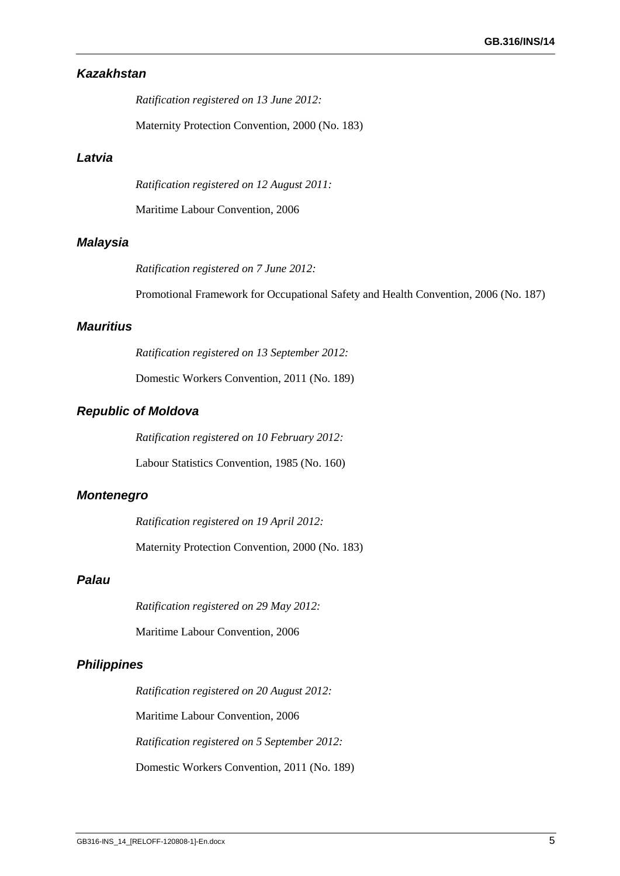## *Kazakhstan*

*Ratification registered on 13 June 2012:*

Maternity Protection Convention, 2000 (No. 183)

#### *Latvia*

*Ratification registered on 12 August 2011:*

Maritime Labour Convention, 2006

#### *Malaysia*

*Ratification registered on 7 June 2012:*

Promotional Framework for Occupational Safety and Health Convention, 2006 (No. 187)

## *Mauritius*

*Ratification registered on 13 September 2012:*

Domestic Workers Convention, 2011 (No. 189)

### *Republic of Moldova*

*Ratification registered on 10 February 2012:*

Labour Statistics Convention, 1985 (No. 160)

#### *Montenegro*

*Ratification registered on 19 April 2012:*

Maternity Protection Convention, 2000 (No. 183)

### *Palau*

*Ratification registered on 29 May 2012:*

Maritime Labour Convention, 2006

#### *Philippines*

*Ratification registered on 20 August 2012:* Maritime Labour Convention, 2006 *Ratification registered on 5 September 2012:* Domestic Workers Convention, 2011 (No. 189)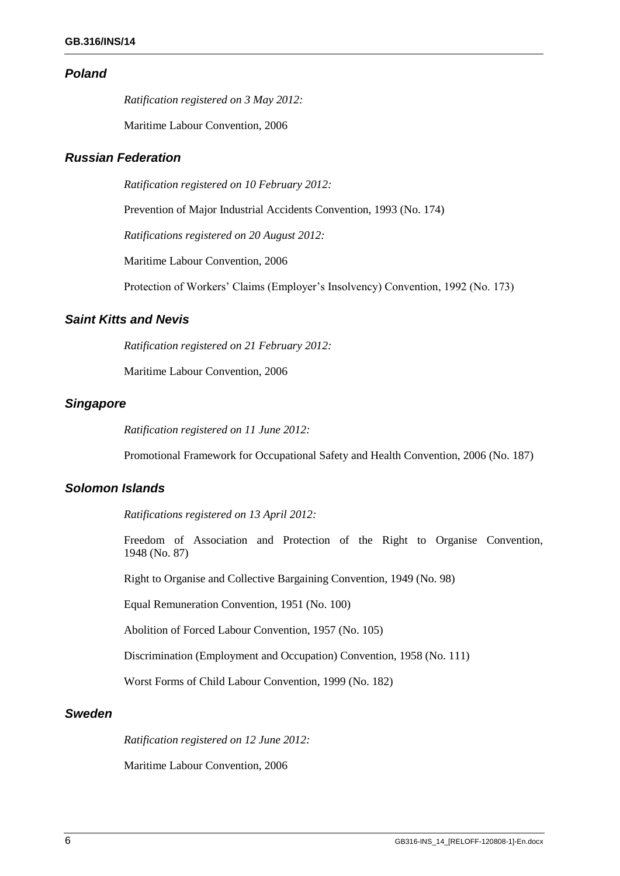#### *Poland*

*Ratification registered on 3 May 2012:*

Maritime Labour Convention, 2006

## *Russian Federation*

*Ratification registered on 10 February 2012:*

Prevention of Major Industrial Accidents Convention, 1993 (No. 174)

*Ratifications registered on 20 August 2012:*

Maritime Labour Convention, 2006

Protection of Workers' Claims (Employer's Insolvency) Convention, 1992 (No. 173)

#### *Saint Kitts and Nevis*

*Ratification registered on 21 February 2012:*

Maritime Labour Convention, 2006

## *Singapore*

*Ratification registered on 11 June 2012:*

Promotional Framework for Occupational Safety and Health Convention, 2006 (No. 187)

#### *Solomon Islands*

*Ratifications registered on 13 April 2012:*

Freedom of Association and Protection of the Right to Organise Convention, 1948 (No. 87)

Right to Organise and Collective Bargaining Convention, 1949 (No. 98)

Equal Remuneration Convention, 1951 (No. 100)

Abolition of Forced Labour Convention, 1957 (No. 105)

Discrimination (Employment and Occupation) Convention, 1958 (No. 111)

Worst Forms of Child Labour Convention, 1999 (No. 182)

#### *Sweden*

*Ratification registered on 12 June 2012:*

Maritime Labour Convention, 2006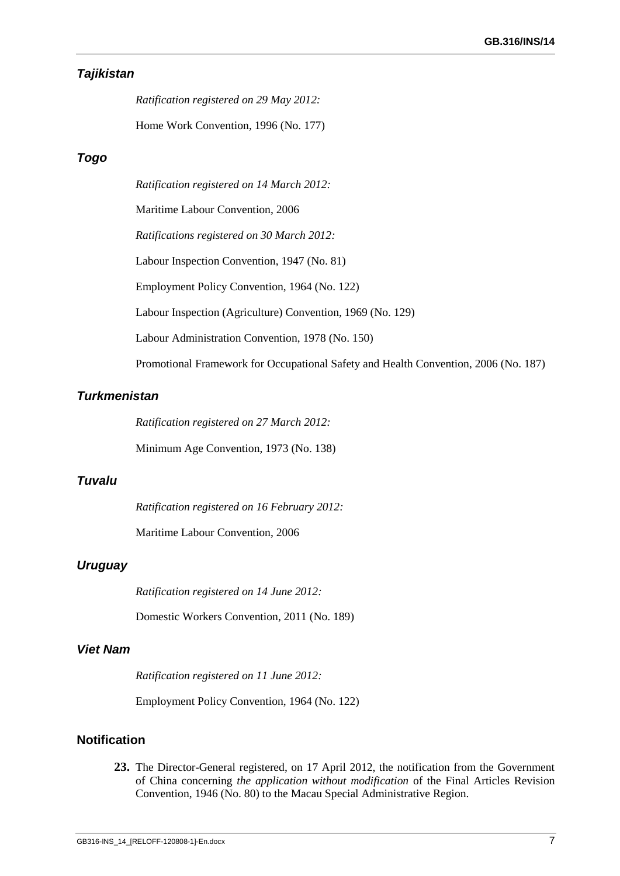## *Tajikistan*

*Ratification registered on 29 May 2012:*

Home Work Convention, 1996 (No. 177)

### *Togo*

*Ratification registered on 14 March 2012:*

Maritime Labour Convention, 2006

*Ratifications registered on 30 March 2012:*

Labour Inspection Convention, 1947 (No. 81)

Employment Policy Convention, 1964 (No. 122)

Labour Inspection (Agriculture) Convention, 1969 (No. 129)

Labour Administration Convention, 1978 (No. 150)

Promotional Framework for Occupational Safety and Health Convention, 2006 (No. 187)

### *Turkmenistan*

*Ratification registered on 27 March 2012:*

Minimum Age Convention, 1973 (No. 138)

#### *Tuvalu*

*Ratification registered on 16 February 2012:*

Maritime Labour Convention, 2006

## *Uruguay*

*Ratification registered on 14 June 2012:*

Domestic Workers Convention, 2011 (No. 189)

#### *Viet Nam*

*Ratification registered on 11 June 2012:*

Employment Policy Convention, 1964 (No. 122)

#### **Notification**

**23.** The Director-General registered, on 17 April 2012, the notification from the Government of China concerning *the application without modification* of the Final Articles Revision Convention, 1946 (No. 80) to the Macau Special Administrative Region.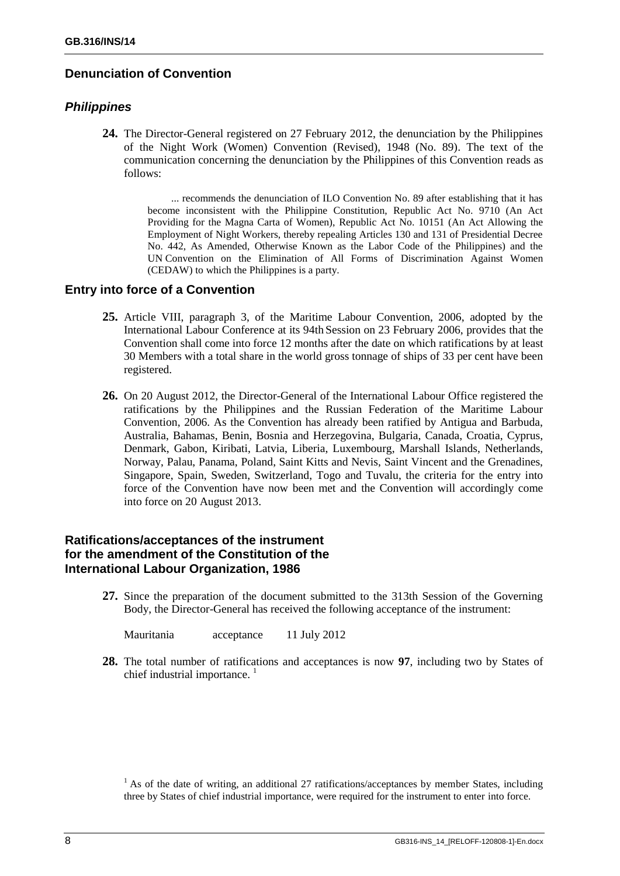## **Denunciation of Convention**

### *Philippines*

**24.** The Director-General registered on 27 February 2012, the denunciation by the Philippines of the Night Work (Women) Convention (Revised), 1948 (No. 89). The text of the communication concerning the denunciation by the Philippines of this Convention reads as follows:

> ... recommends the denunciation of ILO Convention No. 89 after establishing that it has become inconsistent with the Philippine Constitution, Republic Act No. 9710 (An Act Providing for the Magna Carta of Women), Republic Act No. 10151 (An Act Allowing the Employment of Night Workers, thereby repealing Articles 130 and 131 of Presidential Decree No. 442, As Amended, Otherwise Known as the Labor Code of the Philippines) and the UN Convention on the Elimination of All Forms of Discrimination Against Women (CEDAW) to which the Philippines is a party.

### **Entry into force of a Convention**

- **25.** Article VIII, paragraph 3, of the Maritime Labour Convention, 2006, adopted by the International Labour Conference at its 94th Session on 23 February 2006, provides that the Convention shall come into force 12 months after the date on which ratifications by at least 30 Members with a total share in the world gross tonnage of ships of 33 per cent have been registered.
- **26.** On 20 August 2012, the Director-General of the International Labour Office registered the ratifications by the Philippines and the Russian Federation of the Maritime Labour Convention, 2006. As the Convention has already been ratified by Antigua and Barbuda, Australia, Bahamas, Benin, Bosnia and Herzegovina, Bulgaria, Canada, Croatia, Cyprus, Denmark, Gabon, Kiribati, Latvia, Liberia, Luxembourg, Marshall Islands, Netherlands, Norway, Palau, Panama, Poland, Saint Kitts and Nevis, Saint Vincent and the Grenadines, Singapore, Spain, Sweden, Switzerland, Togo and Tuvalu, the criteria for the entry into force of the Convention have now been met and the Convention will accordingly come into force on 20 August 2013.

## **Ratifications/acceptances of the instrument for the amendment of the Constitution of the International Labour Organization, 1986**

**27.** Since the preparation of the document submitted to the 313th Session of the Governing Body, the Director-General has received the following acceptance of the instrument:

Mauritania acceptance 11 July 2012

**28.** The total number of ratifications and acceptances is now **97**, including two by States of chief industrial importance.  $\frac{1}{1}$ 

 $<sup>1</sup>$  As of the date of writing, an additional 27 ratifications/acceptances by member States, including</sup> three by States of chief industrial importance, were required for the instrument to enter into force.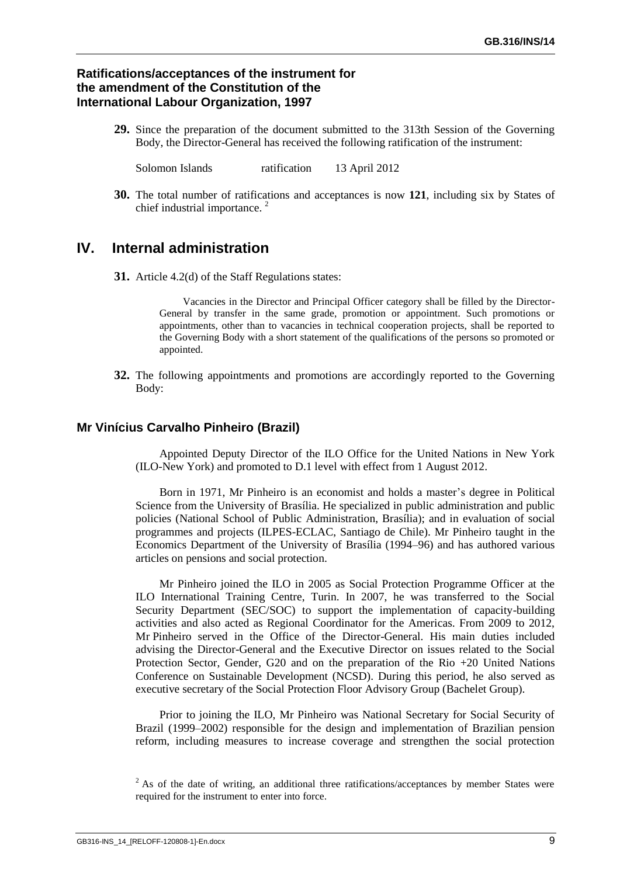## **Ratifications/acceptances of the instrument for the amendment of the Constitution of the International Labour Organization, 1997**

**29.** Since the preparation of the document submitted to the 313th Session of the Governing Body, the Director-General has received the following ratification of the instrument:

Solomon Islands ratification 13 April 2012

**30.** The total number of ratifications and acceptances is now **121**, including six by States of chief industrial importance.<sup>2</sup>

## <span id="page-12-0"></span>**IV. Internal administration**

**31.** Article 4.2(d) of the Staff Regulations states:

Vacancies in the Director and Principal Officer category shall be filled by the Director-General by transfer in the same grade, promotion or appointment. Such promotions or appointments, other than to vacancies in technical cooperation projects, shall be reported to the Governing Body with a short statement of the qualifications of the persons so promoted or appointed.

**32.** The following appointments and promotions are accordingly reported to the Governing Body:

#### **Mr Vinícius Carvalho Pinheiro (Brazil)**

Appointed Deputy Director of the ILO Office for the United Nations in New York (ILO-New York) and promoted to D.1 level with effect from 1 August 2012.

Born in 1971, Mr Pinheiro is an economist and holds a master's degree in Political Science from the University of Brasília. He specialized in public administration and public policies (National School of Public Administration, Brasília); and in evaluation of social programmes and projects (ILPES-ECLAC, Santiago de Chile). Mr Pinheiro taught in the Economics Department of the University of Brasília (1994–96) and has authored various articles on pensions and social protection.

Mr Pinheiro joined the ILO in 2005 as Social Protection Programme Officer at the ILO International Training Centre, Turin. In 2007, he was transferred to the Social Security Department (SEC/SOC) to support the implementation of capacity-building activities and also acted as Regional Coordinator for the Americas. From 2009 to 2012, Mr Pinheiro served in the Office of the Director-General. His main duties included advising the Director-General and the Executive Director on issues related to the Social Protection Sector, Gender, G20 and on the preparation of the Rio +20 United Nations Conference on Sustainable Development (NCSD). During this period, he also served as executive secretary of the Social Protection Floor Advisory Group (Bachelet Group).

Prior to joining the ILO, Mr Pinheiro was National Secretary for Social Security of Brazil (1999–2002) responsible for the design and implementation of Brazilian pension reform, including measures to increase coverage and strengthen the social protection

<sup>&</sup>lt;sup>2</sup> As of the date of writing, an additional three ratifications/acceptances by member States were required for the instrument to enter into force.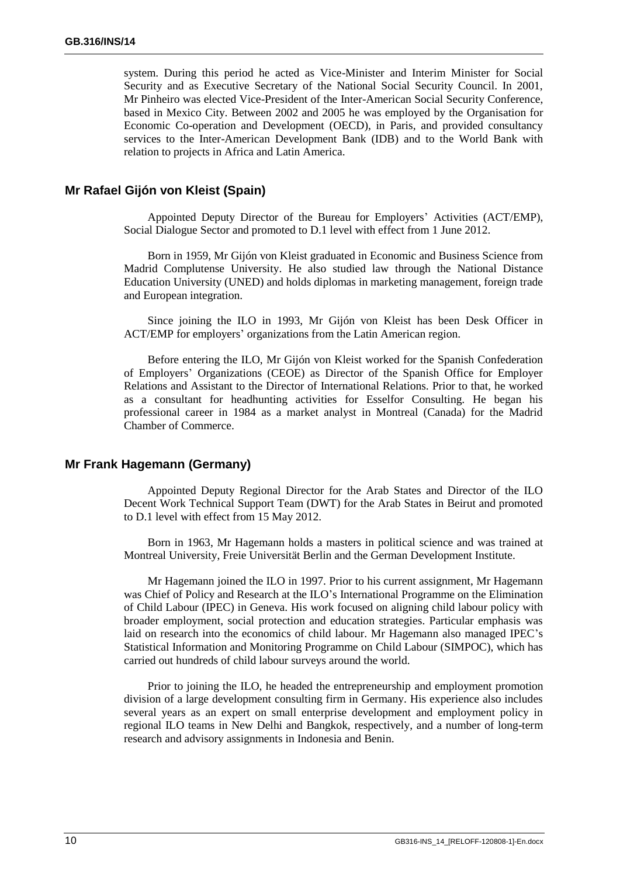system. During this period he acted as Vice-Minister and Interim Minister for Social Security and as Executive Secretary of the National Social Security Council. In 2001, Mr Pinheiro was elected Vice-President of the Inter-American Social Security Conference, based in Mexico City. Between 2002 and 2005 he was employed by the Organisation for Economic Co-operation and Development (OECD), in Paris, and provided consultancy services to the Inter-American Development Bank (IDB) and to the World Bank with relation to projects in Africa and Latin America.

#### **Mr Rafael Gijón von Kleist (Spain)**

Appointed Deputy Director of the Bureau for Employers" Activities (ACT/EMP), Social Dialogue Sector and promoted to D.1 level with effect from 1 June 2012.

Born in 1959, Mr Gijón von Kleist graduated in Economic and Business Science from Madrid Complutense University. He also studied law through the National Distance Education University (UNED) and holds diplomas in marketing management, foreign trade and European integration.

Since joining the ILO in 1993, Mr Gijón von Kleist has been Desk Officer in ACT/EMP for employers' organizations from the Latin American region.

Before entering the ILO, Mr Gijón von Kleist worked for the Spanish Confederation of Employers" Organizations (CEOE) as Director of the Spanish Office for Employer Relations and Assistant to the Director of International Relations. Prior to that, he worked as a consultant for headhunting activities for Esselfor Consulting. He began his professional career in 1984 as a market analyst in Montreal (Canada) for the Madrid Chamber of Commerce.

#### **Mr Frank Hagemann (Germany)**

Appointed Deputy Regional Director for the Arab States and Director of the ILO Decent Work Technical Support Team (DWT) for the Arab States in Beirut and promoted to D.1 level with effect from 15 May 2012.

Born in 1963, Mr Hagemann holds a masters in political science and was trained at Montreal University, Freie Universität Berlin and the German Development Institute.

Mr Hagemann joined the ILO in 1997. Prior to his current assignment, Mr Hagemann was Chief of Policy and Research at the ILO"s International Programme on the Elimination of Child Labour (IPEC) in Geneva. His work focused on aligning child labour policy with broader employment, social protection and education strategies. Particular emphasis was laid on research into the economics of child labour. Mr Hagemann also managed IPEC"s Statistical Information and Monitoring Programme on Child Labour (SIMPOC), which has carried out hundreds of child labour surveys around the world.

Prior to joining the ILO, he headed the entrepreneurship and employment promotion division of a large development consulting firm in Germany. His experience also includes several years as an expert on small enterprise development and employment policy in regional ILO teams in New Delhi and Bangkok, respectively, and a number of long-term research and advisory assignments in Indonesia and Benin.